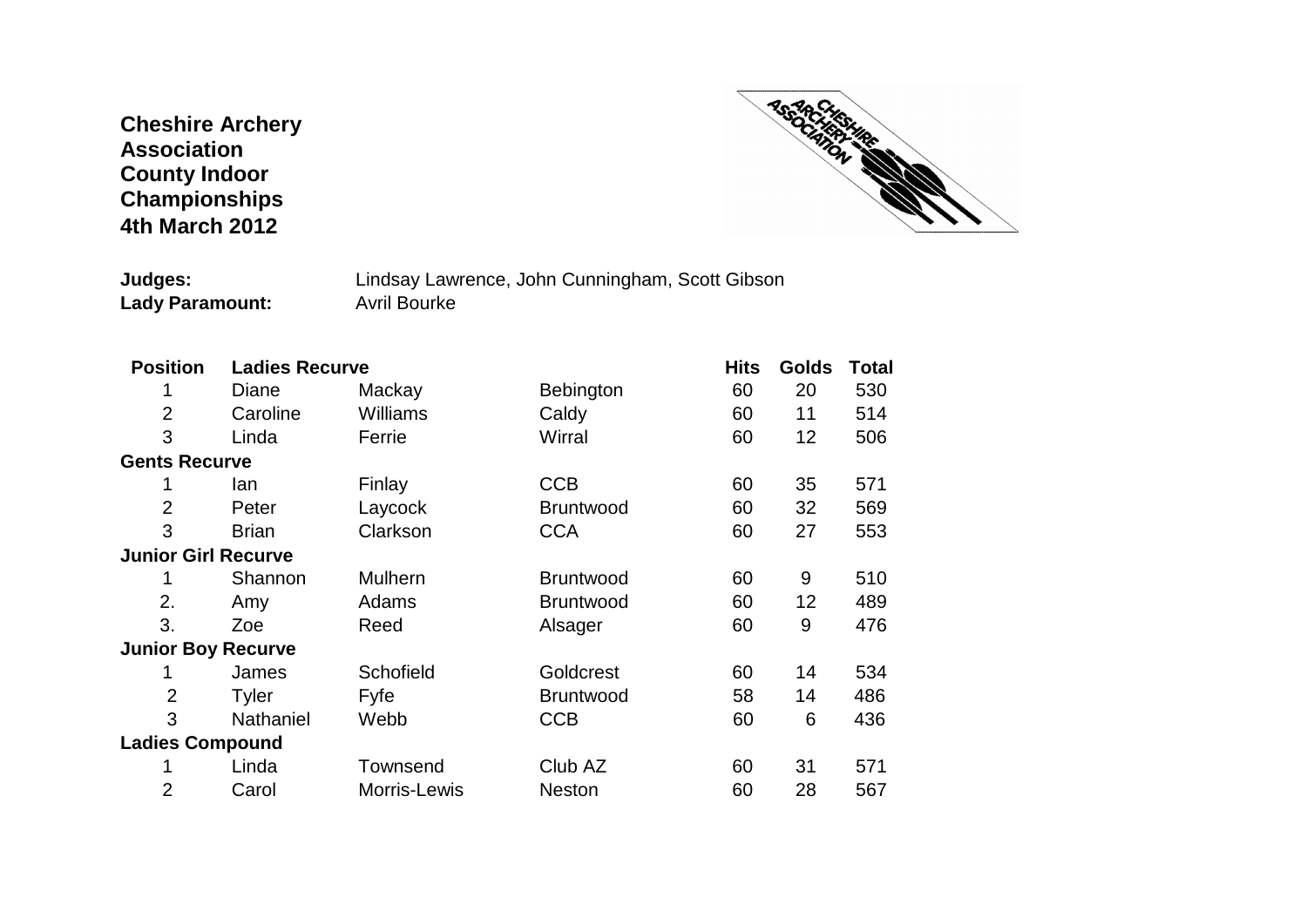## **Cheshire Archery Association County Indoor Championships 4th March 2012**



**Judges:** Lindsay Lawrence, John Cunningham, Scott Gibson<br>
Lady Paramount: Avril Bourke **Lady Paramount:** 

| <b>Position</b>            | <b>Ladies Recurve</b> |                 |                  | <b>Hits</b> | <b>Golds</b> | Total |
|----------------------------|-----------------------|-----------------|------------------|-------------|--------------|-------|
|                            | Diane                 | Mackay          | Bebington        | 60          | 20           | 530   |
| $\overline{2}$             | Caroline              | <b>Williams</b> | Caldy            | 60          | 11           | 514   |
| 3                          | Linda                 | Ferrie          | Wirral           | 60          | 12           | 506   |
| <b>Gents Recurve</b>       |                       |                 |                  |             |              |       |
| 1                          | lan                   | Finlay          | <b>CCB</b>       | 60          | 35           | 571   |
| 2                          | Peter                 | Laycock         | <b>Bruntwood</b> | 60          | 32           | 569   |
| 3                          | <b>Brian</b>          | Clarkson        | <b>CCA</b>       | 60          | 27           | 553   |
| <b>Junior Girl Recurve</b> |                       |                 |                  |             |              |       |
|                            | Shannon               | <b>Mulhern</b>  | <b>Bruntwood</b> | 60          | 9            | 510   |
| 2.                         | Amy                   | Adams           | <b>Bruntwood</b> | 60          | 12           | 489   |
| 3.                         | Zoe                   | Reed            | Alsager          | 60          | 9            | 476   |
| <b>Junior Boy Recurve</b>  |                       |                 |                  |             |              |       |
| 1                          | James                 | Schofield       | Goldcrest        | 60          | 14           | 534   |
| 2                          | Tyler                 | Fyfe            | <b>Bruntwood</b> | 58          | 14           | 486   |
| 3                          | Nathaniel             | Webb            | <b>CCB</b>       | 60          | 6            | 436   |
| <b>Ladies Compound</b>     |                       |                 |                  |             |              |       |
|                            | Linda                 | Townsend        | Club AZ          | 60          | 31           | 571   |
| 2                          | Carol                 | Morris-Lewis    | <b>Neston</b>    | 60          | 28           | 567   |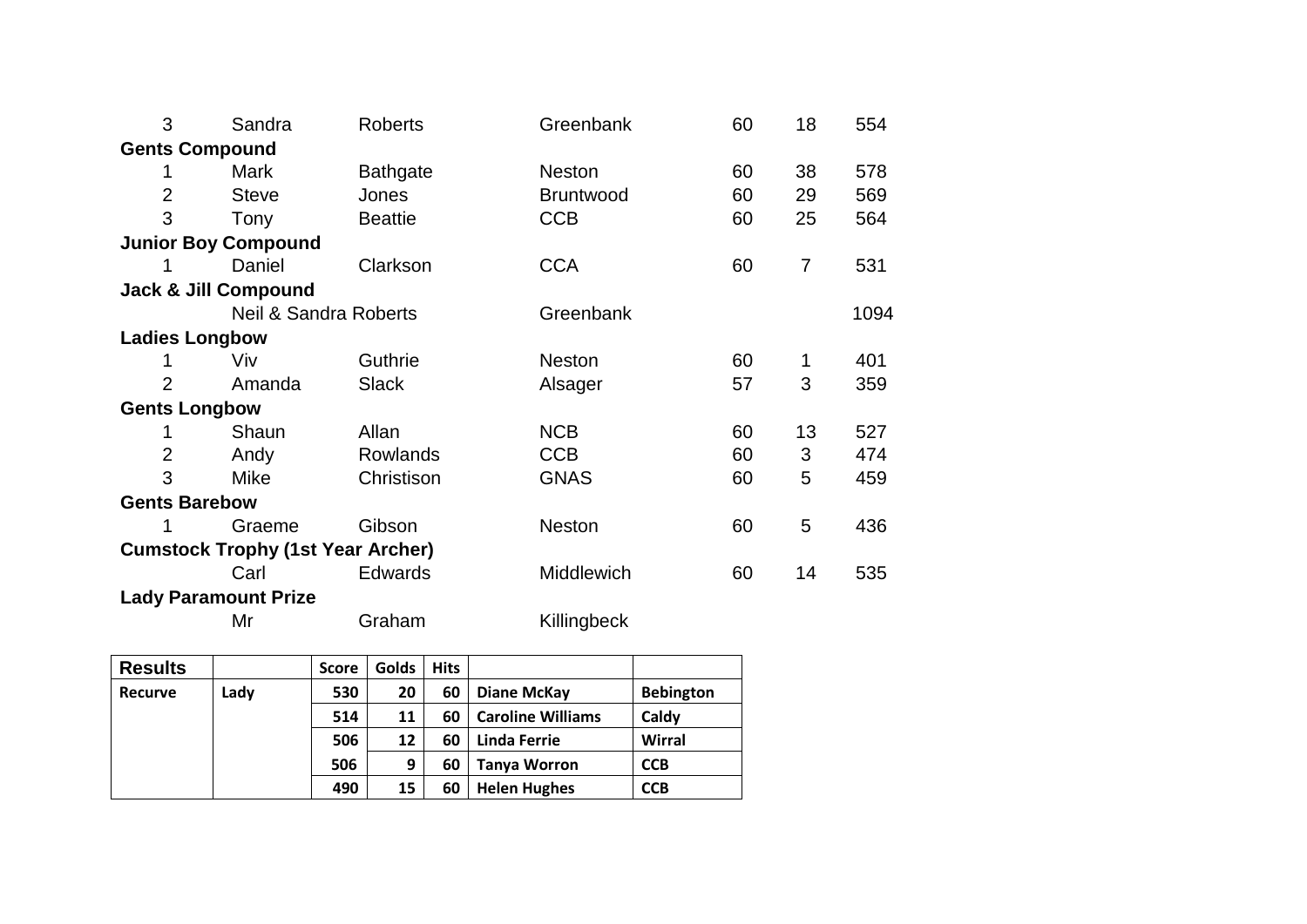| 3                                        | Sandra                           | Roberts         | Greenbank         | 60 | 18             | 554  |  |  |  |  |
|------------------------------------------|----------------------------------|-----------------|-------------------|----|----------------|------|--|--|--|--|
| <b>Gents Compound</b>                    |                                  |                 |                   |    |                |      |  |  |  |  |
|                                          | Mark                             | <b>Bathgate</b> | Neston            | 60 | 38             | 578  |  |  |  |  |
| $\overline{2}$                           | <b>Steve</b>                     | Jones           | <b>Bruntwood</b>  | 60 | 29             | 569  |  |  |  |  |
| 3                                        | Tony                             | <b>Beattie</b>  | <b>CCB</b>        | 60 | 25             | 564  |  |  |  |  |
| <b>Junior Boy Compound</b>               |                                  |                 |                   |    |                |      |  |  |  |  |
|                                          | Daniel                           | Clarkson        | <b>CCA</b>        | 60 | $\overline{7}$ | 531  |  |  |  |  |
| <b>Jack &amp; Jill Compound</b>          |                                  |                 |                   |    |                |      |  |  |  |  |
|                                          | <b>Neil &amp; Sandra Roberts</b> |                 | Greenbank         |    |                | 1094 |  |  |  |  |
| <b>Ladies Longbow</b>                    |                                  |                 |                   |    |                |      |  |  |  |  |
|                                          | Viv                              | Guthrie         | <b>Neston</b>     | 60 | 1              | 401  |  |  |  |  |
| $\overline{2}$                           | Amanda                           | <b>Slack</b>    | Alsager           | 57 | 3              | 359  |  |  |  |  |
| <b>Gents Longbow</b>                     |                                  |                 |                   |    |                |      |  |  |  |  |
|                                          | Shaun                            | Allan           | <b>NCB</b>        | 60 | 13             | 527  |  |  |  |  |
| $\overline{2}$                           | Andy                             | <b>Rowlands</b> | <b>CCB</b>        | 60 | 3              | 474  |  |  |  |  |
| 3                                        | <b>Mike</b>                      | Christison      | <b>GNAS</b>       | 60 | 5              | 459  |  |  |  |  |
| <b>Gents Barebow</b>                     |                                  |                 |                   |    |                |      |  |  |  |  |
|                                          | Graeme                           | Gibson          | <b>Neston</b>     | 60 | 5              | 436  |  |  |  |  |
| <b>Cumstock Trophy (1st Year Archer)</b> |                                  |                 |                   |    |                |      |  |  |  |  |
|                                          | Carl                             | <b>Edwards</b>  | <b>Middlewich</b> | 60 | 14             | 535  |  |  |  |  |
| <b>Lady Paramount Prize</b>              |                                  |                 |                   |    |                |      |  |  |  |  |
|                                          | Mr                               | Graham          | Killingbeck       |    |                |      |  |  |  |  |

| <b>Results</b> |      | <b>Score</b> | Golds | <b>Hits</b> |                          |                  |
|----------------|------|--------------|-------|-------------|--------------------------|------------------|
| Recurve        | Lady | 530          | 20    | 60          | Diane McKay              | <b>Bebington</b> |
|                |      | 514          | 11    | 60          | <b>Caroline Williams</b> | Caldy            |
|                |      | 506          | 12    | 60          | Linda Ferrie             | <b>Wirral</b>    |
|                |      | 506          | 9     | 60          | <b>Tanya Worron</b>      | <b>CCB</b>       |
|                |      | 490          | 15    | 60          | <b>Helen Hughes</b>      | <b>CCB</b>       |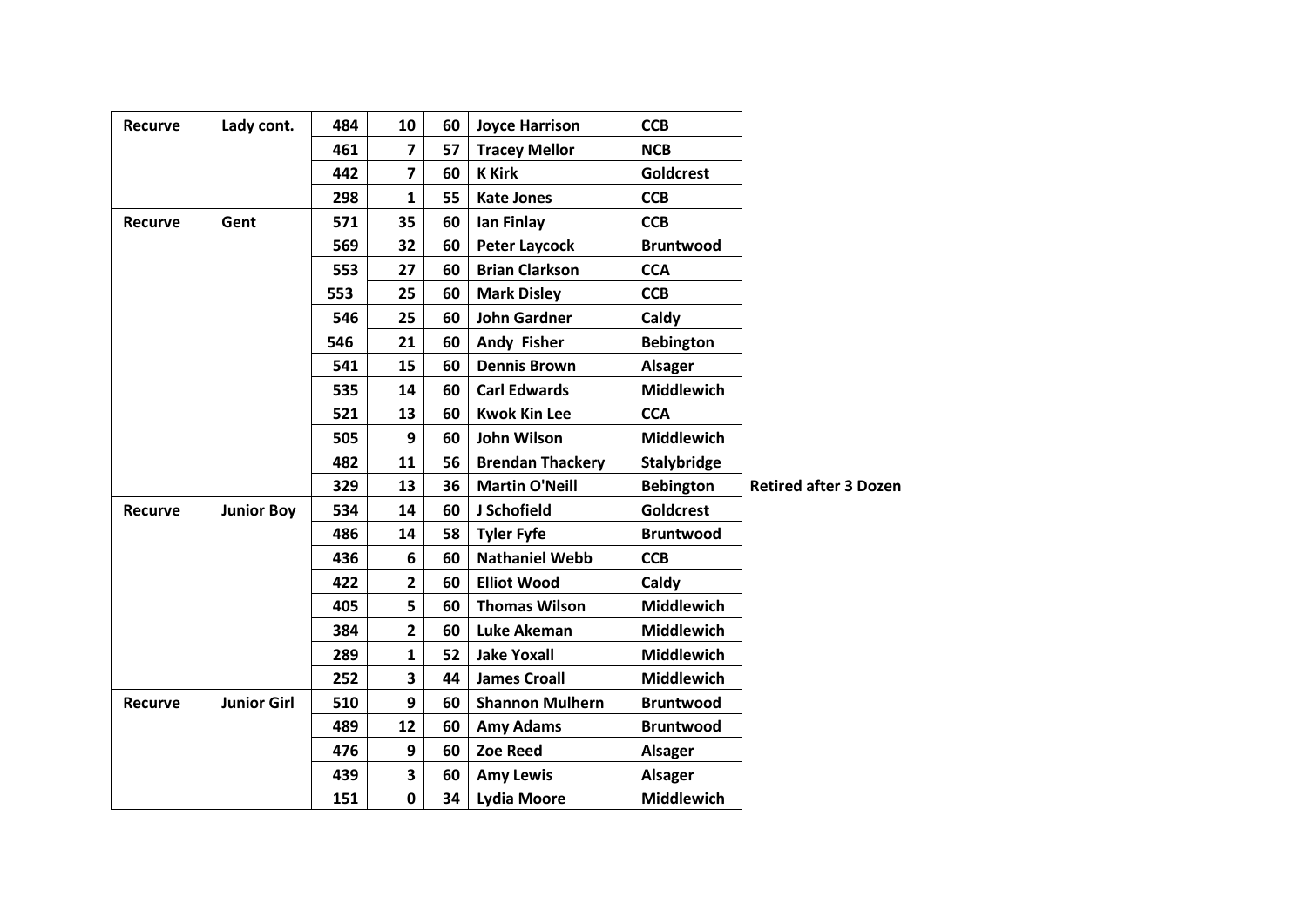| <b>Recurve</b> | Lady cont.         | 484 | 10             | 60 | <b>Joyce Harrison</b>   | <b>CCB</b>        |                              |
|----------------|--------------------|-----|----------------|----|-------------------------|-------------------|------------------------------|
|                |                    | 461 | 7              | 57 | <b>Tracey Mellor</b>    | <b>NCB</b>        |                              |
|                |                    | 442 | $\overline{7}$ | 60 | <b>K</b> Kirk           | Goldcrest         |                              |
|                |                    | 298 | 1              | 55 | <b>Kate Jones</b>       | <b>CCB</b>        |                              |
| <b>Recurve</b> | Gent               | 571 | 35             | 60 | lan Finlay              | <b>CCB</b>        |                              |
|                |                    | 569 | 32             | 60 | <b>Peter Laycock</b>    | <b>Bruntwood</b>  |                              |
|                |                    | 553 | 27             | 60 | <b>Brian Clarkson</b>   | <b>CCA</b>        |                              |
|                |                    | 553 | 25             | 60 | <b>Mark Disley</b>      | <b>CCB</b>        |                              |
|                |                    | 546 | 25             | 60 | <b>John Gardner</b>     | Caldy             |                              |
|                |                    | 546 | 21             | 60 | <b>Andy Fisher</b>      | <b>Bebington</b>  |                              |
|                |                    | 541 | 15             | 60 | <b>Dennis Brown</b>     | <b>Alsager</b>    |                              |
|                |                    | 535 | 14             | 60 | <b>Carl Edwards</b>     | <b>Middlewich</b> |                              |
|                |                    | 521 | 13             | 60 | <b>Kwok Kin Lee</b>     | <b>CCA</b>        |                              |
|                |                    | 505 | 9              | 60 | <b>John Wilson</b>      | <b>Middlewich</b> |                              |
|                |                    | 482 | 11             | 56 | <b>Brendan Thackery</b> | Stalybridge       |                              |
|                |                    | 329 | 13             | 36 | <b>Martin O'Neill</b>   | <b>Bebington</b>  | <b>Retired after 3 Dozen</b> |
| <b>Recurve</b> | <b>Junior Boy</b>  | 534 | 14             | 60 | J Schofield             | <b>Goldcrest</b>  |                              |
|                |                    | 486 | 14             | 58 | <b>Tyler Fyfe</b>       | <b>Bruntwood</b>  |                              |
|                |                    | 436 | 6              | 60 | <b>Nathaniel Webb</b>   | <b>CCB</b>        |                              |
|                |                    | 422 | $\mathbf{2}$   | 60 | <b>Elliot Wood</b>      | Caldy             |                              |
|                |                    | 405 | 5              | 60 | <b>Thomas Wilson</b>    | <b>Middlewich</b> |                              |
|                |                    | 384 | $\overline{2}$ | 60 | Luke Akeman             | <b>Middlewich</b> |                              |
|                |                    | 289 | $\mathbf{1}$   | 52 | <b>Jake Yoxall</b>      | <b>Middlewich</b> |                              |
|                |                    | 252 | 3              | 44 | <b>James Croall</b>     | <b>Middlewich</b> |                              |
| <b>Recurve</b> | <b>Junior Girl</b> | 510 | 9              | 60 | <b>Shannon Mulhern</b>  | <b>Bruntwood</b>  |                              |
|                |                    | 489 | 12             | 60 | <b>Amy Adams</b>        | <b>Bruntwood</b>  |                              |
|                |                    | 476 | 9              | 60 | <b>Zoe Reed</b>         | <b>Alsager</b>    |                              |
|                |                    | 439 | 3              | 60 | <b>Amy Lewis</b>        | <b>Alsager</b>    |                              |
|                |                    | 151 | $\mathbf 0$    | 34 | Lydia Moore             | <b>Middlewich</b> |                              |